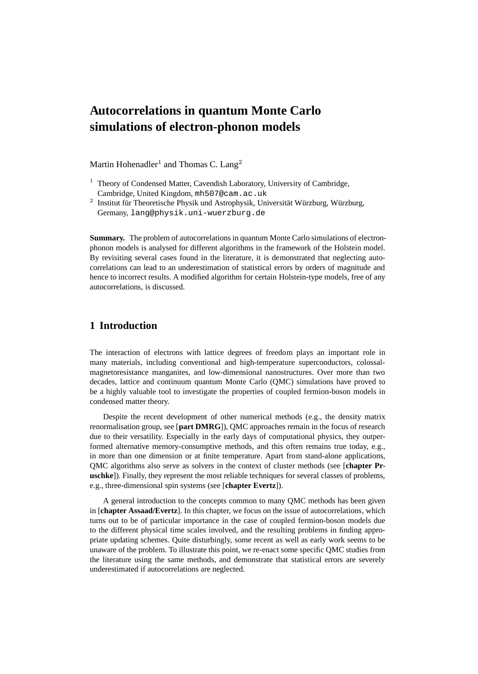# **Autocorrelations in quantum Monte Carlo simulations of electron-phonon models**

Martin Hohenadler<sup>1</sup> and Thomas C. Lang<sup>2</sup>

**Summary.** The problem of autocorrelations in quantum Monte Carlo simulations of electronphonon models is analysed for different algorithms in the framework of the Holstein model. By revisiting several cases found in the literature, it is demonstrated that neglecting autocorrelations can lead to an underestimation of statistical errors by orders of magnitude and hence to incorrect results. A modified algorithm for certain Holstein-type models, free of any autocorrelations, is discussed.

# **1 Introduction**

The interaction of electrons with lattice degrees of freedom plays an important role in many materials, including conventional and high-temperature superconductors, colossalmagnetoresistance manganites, and low-dimensional nanostructures. Over more than two decades, lattice and continuum quantum Monte Carlo (QMC) simulations have proved to be a highly valuable tool to investigate the properties of coupled fermion-boson models in condensed matter theory.

Despite the recent development of other numerical methods (e.g., the density matrix renormalisation group, see [**part DMRG**]), QMC approaches remain in the focus of research due to their versatility. Especially in the early days of computational physics, they outperformed alternative memory-consumptive methods, and this often remains true today, e.g., in more than one dimension or at finite temperature. Apart from stand-alone applications, QMC algorithms also serve as solvers in the context of cluster methods (see [**chapter Pruschke**]). Finally, they represent the most reliable techniques for several classes of problems, e.g., three-dimensional spin systems (see [**chapter Evertz**]).

A general introduction to the concepts common to many QMC methods has been given in [**chapter Assaad/Evertz**]. In this chapter, we focus on the issue of autocorrelations, which turns out to be of particular importance in the case of coupled fermion-boson models due to the different physical time scales involved, and the resulting problems in finding appropriate updating schemes. Quite disturbingly, some recent as well as early work seems to be unaware of the problem. To illustrate this point, we re-enact some specific QMC studies from the literature using the same methods, and demonstrate that statistical errors are severely underestimated if autocorrelations are neglected.

 $1$  Theory of Condensed Matter, Cavendish Laboratory, University of Cambridge, Cambridge, United Kingdom, mh507@cam.ac.uk

<sup>&</sup>lt;sup>2</sup> Institut für Theoretische Physik und Astrophysik, Universität Würzburg, Würzburg, Germany, lang@physik.uni-wuerzburg.de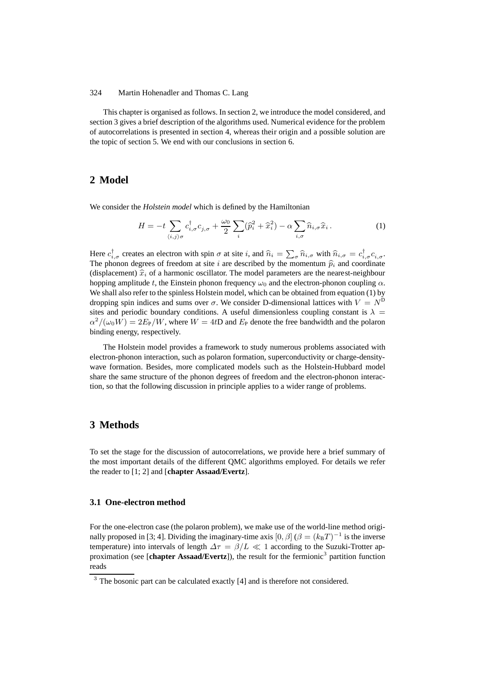This chapter is organised as follows. In section 2, we introduce the model considered, and section 3 gives a brief description of the algorithms used. Numerical evidence for the problem of autocorrelations is presented in section 4, whereas their origin and a possible solution are the topic of section 5. We end with our conclusions in section 6.

# **2 Model**

We consider the *Holstein model* which is defined by the Hamiltonian

$$
H = -t \sum_{\langle i,j \rangle \sigma} c_{i,\sigma}^{\dagger} c_{j,\sigma} + \frac{\omega_0}{2} \sum_i (\widehat{p}_i^2 + \widehat{x}_i^2) - \alpha \sum_{i,\sigma} \widehat{n}_{i,\sigma} \widehat{x}_i.
$$
 (1)

Here  $c_{i,\sigma}^{\dagger}$  creates an electron with spin  $\sigma$  at site i, and  $\hat{n}_i = \sum_{\sigma} \hat{n}_{i,\sigma}$  with  $\hat{n}_{i,\sigma} = c_{i,\sigma}^{\dagger} c_{i,\sigma}$ . The phonon degrees of freedom at site i are described by the momentum  $\hat{p}_i$  and coordinate (displacement)  $\hat{x}_i$  of a harmonic oscillator. The model parameters are the nearest-neighbour hopping amplitude t, the Einstein phonon frequency  $\omega_0$  and the electron-phonon coupling  $\alpha$ . We shall also refer to the spinless Holstein model, which can be obtained from equation (1) by dropping spin indices and sums over  $\sigma$ . We consider D-dimensional lattices with  $V = N^D$ sites and periodic boundary conditions. A useful dimensionless coupling constant is  $\lambda =$  $\alpha^2/(\omega_0 W) = 2E_P/W$ , where  $W = 4tD$  and  $E_P$  denote the free bandwidth and the polaron binding energy, respectively.

The Holstein model provides a framework to study numerous problems associated with electron-phonon interaction, such as polaron formation, superconductivity or charge-densitywave formation. Besides, more complicated models such as the Holstein-Hubbard model share the same structure of the phonon degrees of freedom and the electron-phonon interaction, so that the following discussion in principle applies to a wider range of problems.

### **3 Methods**

To set the stage for the discussion of autocorrelations, we provide here a brief summary of the most important details of the different QMC algorithms employed. For details we refer the reader to [1; 2] and [**chapter Assaad/Evertz**].

### **3.1 One-electron method**

For the one-electron case (the polaron problem), we make use of the world-line method originally proposed in [3; 4]. Dividing the imaginary-time axis  $[0, \beta]$  ( $\beta = (k_B T)^{-1}$  is the inverse temperature) into intervals of length  $\Delta \tau = \beta/L \ll 1$  according to the Suzuki-Trotter approximation (see [chapter Assaad/Evertz]), the result for the fermionic<sup>3</sup> partition function reads

<sup>&</sup>lt;sup>3</sup> The bosonic part can be calculated exactly [4] and is therefore not considered.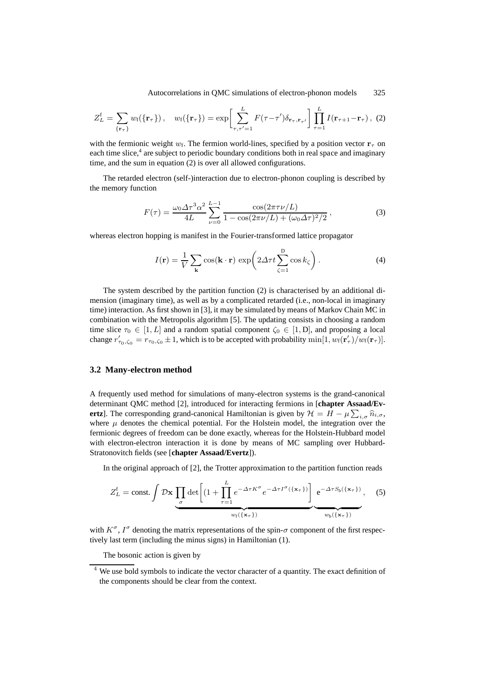Autocorrelations in QMC simulations of electron-phonon models 325

$$
Z_L^{\mathfrak{f}} = \sum_{\{\mathbf{r}_{\tau}\}} w_{\mathfrak{f}}(\{\mathbf{r}_{\tau}\}), \quad w_{\mathfrak{f}}(\{\mathbf{r}_{\tau}\}) = \exp\bigg[\sum_{\tau,\tau'=1}^{L} F(\tau-\tau')\delta_{\mathbf{r}_{\tau},\mathbf{r}_{\tau'}}\bigg]\prod_{\tau=1}^{L} I(\mathbf{r}_{\tau+1}-\mathbf{r}_{\tau}), \tag{2}
$$

with the fermionic weight  $w_f$ . The fermion world-lines, specified by a position vector  $\mathbf{r}_{\tau}$  on each time slice,<sup>4</sup> are subject to periodic boundary conditions both in real space and imaginary time, and the sum in equation (2) is over all allowed configurations.

The retarded electron (self-)interaction due to electron-phonon coupling is described by the memory function

$$
F(\tau) = \frac{\omega_0 \Delta \tau^3 \alpha^2}{4L} \sum_{\nu=0}^{L-1} \frac{\cos(2\pi \tau \nu/L)}{1 - \cos(2\pi \nu/L) + (\omega_0 \Delta \tau)^2/2},
$$
(3)

whereas electron hopping is manifest in the Fourier-transformed lattice propagator

$$
I(\mathbf{r}) = \frac{1}{V} \sum_{\mathbf{k}} \cos(\mathbf{k} \cdot \mathbf{r}) \exp\left(2\Delta \tau t \sum_{\zeta=1}^{D} \cos k_{\zeta}\right).
$$
 (4)

The system described by the partition function (2) is characterised by an additional dimension (imaginary time), as well as by a complicated retarded (i.e., non-local in imaginary time) interaction. As first shown in [3], it may be simulated by means of Markov Chain MC in combination with the Metropolis algorithm [5]. The updating consists in choosing a random time slice  $\tau_0 \in [1, L]$  and a random spatial component  $\zeta_0 \in [1, D]$ , and proposing a local change  $r'_{\tau_0,\zeta_0} = r_{\tau_0,\zeta_0} \pm 1$ , which is to be accepted with probability  $\min[1, w_f(\mathbf{r}'_\tau)/w_f(\mathbf{r}_\tau)].$ 

#### **3.2 Many-electron method**

A frequently used method for simulations of many-electron systems is the grand-canonical determinant QMC method [2], introduced for interacting fermions in [**chapter Assaad/Evertz**]. The corresponding grand-canonical Hamiltonian is given by  $\mathcal{H} = H - \mu \sum_{i,\sigma} \hat{n}_{i,\sigma}$ , where  $\mu$  denotes the chemical potential. For the Holstein model, the integration over the fermionic degrees of freedom can be done exactly, whereas for the Holstein-Hubbard model with electron-electron interaction it is done by means of MC sampling over Hubbard-Stratonovitch fields (see [**chapter Assaad/Evertz**]).

In the original approach of [2], the Trotter approximation to the partition function reads

$$
Z_{L}^{\mathsf{f}} = \text{const.} \int \mathcal{D} \mathbf{x} \underbrace{\prod_{\sigma} \det \left[ (1 + \prod_{\tau=1}^{L} e^{-\Delta \tau K^{\sigma}} e^{-\Delta \tau I^{\sigma}(\{\mathbf{x}_{\tau}\})} \right]}_{w_{\mathsf{f}}(\{\mathbf{x}_{\tau}\})} e^{-\Delta \tau S_{\mathsf{b}}(\{\mathbf{x}_{\tau}\})}, \quad (5)
$$

with  $K^{\sigma}$ ,  $I^{\sigma}$  denoting the matrix representations of the spin- $\sigma$  component of the first respectively last term (including the minus signs) in Hamiltonian (1).

The bosonic action is given by

<sup>&</sup>lt;sup>4</sup> We use bold symbols to indicate the vector character of a quantity. The exact definition of the components should be clear from the context.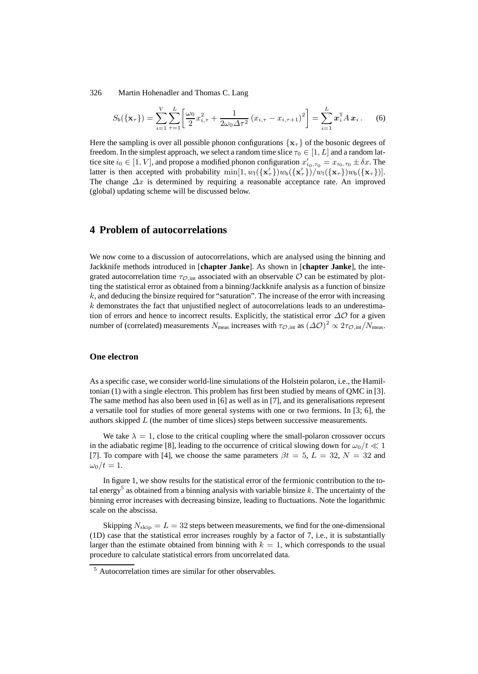$$
S_{\rm b}(\{\mathbf{x}_{\tau}\}) = \sum_{i=1}^{V} \sum_{\tau=1}^{L} \left[ \frac{\omega_0}{2} x_{i,\tau}^2 + \frac{1}{2\omega_0 \Delta \tau^2} (x_{i,\tau} - x_{i,\tau+1})^2 \right] = \sum_{i=1}^{L} x_i^{\rm T} A x_i. \tag{6}
$$

Here the sampling is over all possible phonon configurations  $\{x_\tau\}$  of the bosonic degrees of freedom. In the simplest approach, we select a random time slice  $\tau_0 \in [1, L]$  and a random lattice site  $i_0 \in [1, V]$ , and propose a modified phonon configuration  $x'_{i_0, \tau_0} = x_{i_0, \tau_0} \pm \delta x$ . The latter is then accepted with probability  $\min[1, w_f(\{\mathbf{x}'_\tau\})w_b(\{\mathbf{x}'_\tau\})/w_f(\{\mathbf{x}_\tau\})w_b(\{\mathbf{x}_\tau\})]$ . The change  $\Delta x$  is determined by requiring a reasonable acceptance rate. An improved (global) updating scheme will be discussed below.

# **4 Problem of autocorrelations**

We now come to a discussion of autocorrelations, which are analysed using the binning and Jackknife methods introduced in [**chapter Janke**]. As shown in [**chapter Janke**], the integrated autocorrelation time  $\tau_{\mathcal{O},int}$  associated with an observable  $\mathcal O$  can be estimated by plotting the statistical error as obtained from a binning/Jackknife analysis as a function of binsize  $k$ , and deducing the binsize required for "saturation". The increase of the error with increasing  $k$  demonstrates the fact that unjustified neglect of autocorrelations leads to an underestimation of errors and hence to incorrect results. Explicitly, the statistical error  $\Delta\mathcal{O}$  for a given number of (correlated) measurements  $N_{\text{meas}}$  increases with  $\tau_{\mathcal{O},\text{int}}$  as  $(\Delta \mathcal{O})^2 \propto 2\tau_{\mathcal{O},\text{int}}/N_{\text{meas}}$ .

#### **One electron**

As a specific case, we consider world-line simulations of the Holstein polaron, i.e., the Hamiltonian (1) with a single electron. This problem has first been studied by means of QMC in [3]. The same method has also been used in [6] as well as in [7], and its generalisations represent a versatile tool for studies of more general systems with one or two fermions. In [3; 6], the authors skipped L (the number of time slices) steps between successive measurements.

We take  $\lambda = 1$ , close to the critical coupling where the small-polaron crossover occurs in the adiabatic regime [8], leading to the occurrence of critical slowing down for  $\omega_0/t \ll 1$ [7]. To compare with [4], we choose the same parameters  $\beta t = 5$ ,  $L = 32$ ,  $N = 32$  and  $\omega_0/t=1$ .

In figure 1, we show results for the statistical error of the fermionic contribution to the total energy<sup>5</sup> as obtained from a binning analysis with variable binsize  $k$ . The uncertainty of the binning error increases with decreasing binsize, leading to fluctuations. Note the logarithmic scale on the abscissa.

Skipping  $N_{\text{skip}} = L = 32$  steps between measurements, we find for the one-dimensional (1D) case that the statistical error increases roughly by a factor of 7, i.e., it is substantially larger than the estimate obtained from binning with  $k = 1$ , which corresponds to the usual procedure to calculate statistical errors from uncorrelated data.

<sup>5</sup> Autocorrelation times are similar for other observables.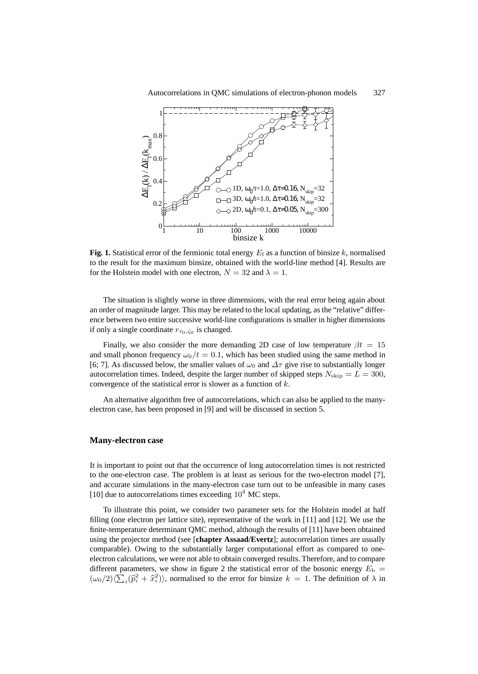

**Fig. 1.** Statistical error of the fermionic total energy  $E_f$  as a function of binsize k, normalised to the result for the maximum binsize, obtained with the world-line method [4]. Results are for the Holstein model with one electron,  $N = 32$  and  $\lambda = 1$ .

The situation is slightly worse in three dimensions, with the real error being again about an order of magnitude larger. This may be related to the local updating, as the "relative" difference between two entire successive world-line configurations is smaller in higher dimensions if only a single coordinate  $r_{\tau_0, \zeta_0}$  is changed.

Finally, we also consider the more demanding 2D case of low temperature  $\beta t = 15$ and small phonon frequency  $\omega_0/t = 0.1$ , which has been studied using the same method in [6; 7]. As discussed below, the smaller values of  $\omega_0$  and  $\Delta \tau$  give rise to substantially longer autocorrelation times. Indeed, despite the larger number of skipped steps  $N_{\text{skip}} = L = 300$ , convergence of the statistical error is slower as a function of  $k$ .

An alternative algorithm free of autocorrelations, which can also be applied to the manyelectron case, has been proposed in [9] and will be discussed in section 5.

# **Many-electron case**

It is important to point out that the occurrence of long autocorrelation times is not restricted to the one-electron case. The problem is at least as serious for the two-electron model [7], and accurate simulations in the many-electron case turn out to be unfeasible in many cases [10] due to autocorrelations times exceeding  $10^4$  MC steps.

To illustrate this point, we consider two parameter sets for the Holstein model at half filling (one electron per lattice site), representative of the work in [11] and [12]. We use the finite-temperature determinant QMC method, although the results of [11] have been obtained using the projector method (see [**chapter Assaad/Evertz**]; autocorrelation times are usually comparable). Owing to the substantially larger computational effort as compared to oneelectron calculations, we were not able to obtain converged results. Therefore, and to compare different parameters, we show in figure 2 the statistical error of the bosonic energy  $E<sub>b</sub>$  =  $(\omega_0/2)\langle\sum_i(\hat{p}_i^2 + \hat{x}_i^2)\rangle$ , normalised to the error for binsize  $k = 1$ . The definition of  $\lambda$  in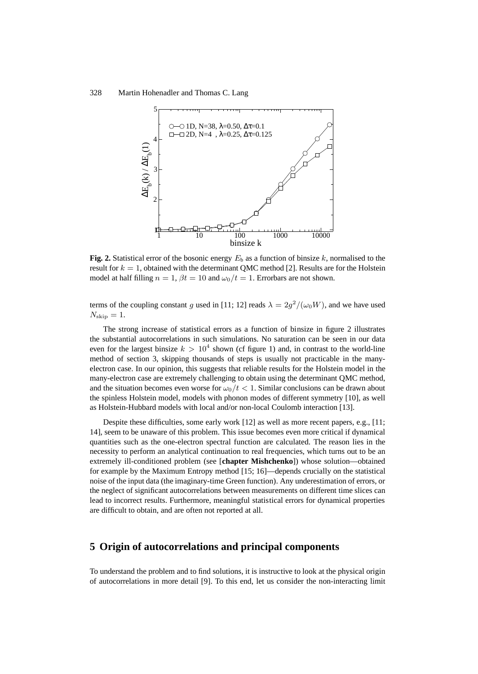

**Fig. 2.** Statistical error of the bosonic energy  $E<sub>b</sub>$  as a function of binsize k, normalised to the result for  $k = 1$ , obtained with the determinant QMC method [2]. Results are for the Holstein model at half filling  $n = 1$ ,  $\beta t = 10$  and  $\omega_0/t = 1$ . Errorbars are not shown.

terms of the coupling constant g used in [11; 12] reads  $\lambda = 2g^2/(\omega_0 W)$ , and we have used  $N_{\rm skip}=1.$ 

The strong increase of statistical errors as a function of binsize in figure 2 illustrates the substantial autocorrelations in such simulations. No saturation can be seen in our data even for the largest binsize  $k > 10^4$  shown (cf figure 1) and, in contrast to the world-line method of section 3, skipping thousands of steps is usually not practicable in the manyelectron case. In our opinion, this suggests that reliable results for the Holstein model in the many-electron case are extremely challenging to obtain using the determinant QMC method, and the situation becomes even worse for  $\omega_0/t < 1$ . Similar conclusions can be drawn about the spinless Holstein model, models with phonon modes of different symmetry [10], as well as Holstein-Hubbard models with local and/or non-local Coulomb interaction [13].

Despite these difficulties, some early work [12] as well as more recent papers, e.g., [11; 14], seem to be unaware of this problem. This issue becomes even more critical if dynamical quantities such as the one-electron spectral function are calculated. The reason lies in the necessity to perform an analytical continuation to real frequencies, which turns out to be an extremely ill-conditioned problem (see [**chapter Mishchenko**]) whose solution—obtained for example by the Maximum Entropy method [15; 16]—depends crucially on the statistical noise of the input data (the imaginary-time Green function). Any underestimation of errors, or the neglect of significant autocorrelations between measurements on different time slices can lead to incorrect results. Furthermore, meaningful statistical errors for dynamical properties are difficult to obtain, and are often not reported at all.

## **5 Origin of autocorrelations and principal components**

To understand the problem and to find solutions, it is instructive to look at the physical origin of autocorrelations in more detail [9]. To this end, let us consider the non-interacting limit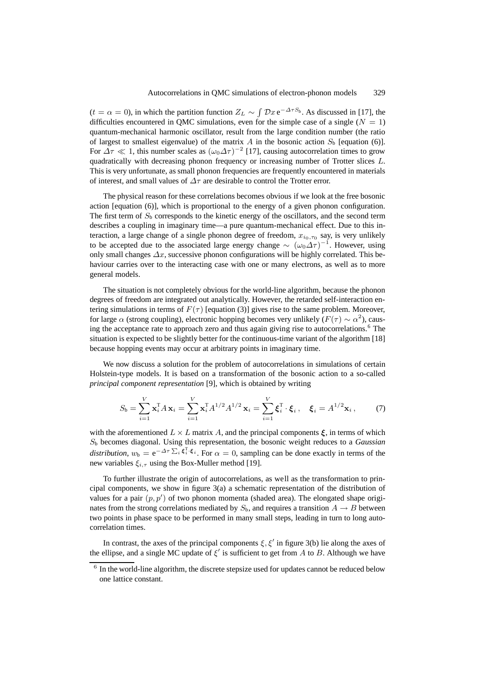$(t = \alpha = 0)$ , in which the partition function  $Z_L \sim \int \mathcal{D}x e^{-\Delta \tau S_b}$ . As discussed in [17], the difficulties encountered in QMC simulations, even for the simple case of a single ( $N = 1$ ) quantum-mechanical harmonic oscillator, result from the large condition number (the ratio of largest to smallest eigenvalue) of the matrix A in the bosonic action  $S_b$  [equation (6)]. For  $\Delta \tau \ll 1$ , this number scales as  $(\omega_0 \Delta \tau)^{-2}$  [17], causing autocorrelation times to grow quadratically with decreasing phonon frequency or increasing number of Trotter slices L. This is very unfortunate, as small phonon frequencies are frequently encountered in materials of interest, and small values of  $\Delta\tau$  are desirable to control the Trotter error.

The physical reason for these correlations becomes obvious if we look at the free bosonic action [equation (6)], which is proportional to the energy of a given phonon configuration. The first term of  $S<sub>b</sub>$  corresponds to the kinetic energy of the oscillators, and the second term describes a coupling in imaginary time—a pure quantum-mechanical effect. Due to this interaction, a large change of a single phonon degree of freedom,  $x_{i_0, \tau_0}$  say, is very unlikely to be accepted due to the associated large energy change  $\sim (\omega_0 \Delta \tau)^{-1}$ . However, using only small changes  $\Delta x$ , successive phonon configurations will be highly correlated. This behaviour carries over to the interacting case with one or many electrons, as well as to more general models.

The situation is not completely obvious for the world-line algorithm, because the phonon degrees of freedom are integrated out analytically. However, the retarded self-interaction entering simulations in terms of  $F(\tau)$  [equation (3)] gives rise to the same problem. Moreover, for large  $\alpha$  (strong coupling), electronic hopping becomes very unlikely ( $F(\tau) \sim \alpha^2$ ), causing the acceptance rate to approach zero and thus again giving rise to autocorrelations.<sup>6</sup> The situation is expected to be slightly better for the continuous-time variant of the algorithm [18] because hopping events may occur at arbitrary points in imaginary time.

We now discuss a solution for the problem of autocorrelations in simulations of certain Holstein-type models. It is based on a transformation of the bosonic action to a so-called *principal component representation* [9], which is obtained by writing

$$
S_{\mathbf{b}} = \sum_{i=1}^{V} \mathbf{x}_i^{\mathrm{T}} A \mathbf{x}_i = \sum_{i=1}^{V} \mathbf{x}_i^{\mathrm{T}} A^{1/2} A^{1/2} \mathbf{x}_i = \sum_{i=1}^{V} \xi_i^{\mathrm{T}} \cdot \xi_i, \quad \xi_i = A^{1/2} \mathbf{x}_i, \tag{7}
$$

with the aforementioned  $L \times L$  matrix A, and the principal components  $\xi$ , in terms of which S<sup>b</sup> becomes diagonal. Using this representation, the bosonic weight reduces to a *Gaussian distribution*,  $w_b = e^{-\Delta \tau \sum_i \xi_i^T \cdot \xi_i}$ . For  $\alpha = 0$ , sampling can be done exactly in terms of the new variables  $\xi_{i,\tau}$  using the Box-Muller method [19].

To further illustrate the origin of autocorrelations, as well as the transformation to principal components, we show in figure 3(a) a schematic representation of the distribution of values for a pair  $(p, p')$  of two phonon momenta (shaded area). The elongated shape originates from the strong correlations mediated by  $S_b$ , and requires a transition  $A \rightarrow B$  between two points in phase space to be performed in many small steps, leading in turn to long autocorrelation times.

In contrast, the axes of the principal components  $\xi, \xi'$  in figure 3(b) lie along the axes of the ellipse, and a single MC update of  $\xi'$  is sufficient to get from A to B. Although we have

 $6$  In the world-line algorithm, the discrete stepsize used for updates cannot be reduced below one lattice constant.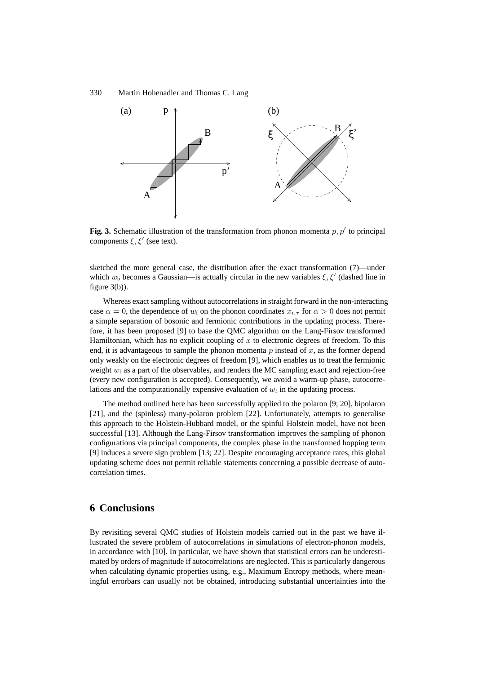

**Fig. 3.** Schematic illustration of the transformation from phonon momenta  $p, p'$  to principal components  $\xi, \xi'$  (see text).

sketched the more general case, the distribution after the exact transformation (7)—under which  $w_b$  becomes a Gaussian—is actually circular in the new variables  $\xi, \xi'$  (dashed line in figure 3(b)).

Whereas exact sampling without autocorrelations in straight forward in the non-interacting case  $\alpha = 0$ , the dependence of  $w_f$  on the phonon coordinates  $x_{i,\tau}$  for  $\alpha > 0$  does not permit a simple separation of bosonic and fermionic contributions in the updating process. Therefore, it has been proposed [9] to base the QMC algorithm on the Lang-Firsov transformed Hamiltonian, which has no explicit coupling of  $x$  to electronic degrees of freedom. To this end, it is advantageous to sample the phonon momenta  $p$  instead of  $x$ , as the former depend only weakly on the electronic degrees of freedom [9], which enables us to treat the fermionic weight  $w_f$  as a part of the observables, and renders the MC sampling exact and rejection-free (every new configuration is accepted). Consequently, we avoid a warm-up phase, autocorrelations and the computationally expensive evaluation of  $w_f$  in the updating process.

The method outlined here has been successfully applied to the polaron [9; 20], bipolaron [21], and the (spinless) many-polaron problem [22]. Unfortunately, attempts to generalise this approach to the Holstein-Hubbard model, or the spinful Holstein model, have not been successful [13]. Although the Lang-Firsov transformation improves the sampling of phonon configurations via principal components, the complex phase in the transformed hopping term [9] induces a severe sign problem [13; 22]. Despite encouraging acceptance rates, this global updating scheme does not permit reliable statements concerning a possible decrease of autocorrelation times.

# **6 Conclusions**

By revisiting several QMC studies of Holstein models carried out in the past we have illustrated the severe problem of autocorrelations in simulations of electron-phonon models, in accordance with [10]. In particular, we have shown that statistical errors can be underestimated by orders of magnitude if autocorrelations are neglected. This is particularly dangerous when calculating dynamic properties using, e.g., Maximum Entropy methods, where meaningful errorbars can usually not be obtained, introducing substantial uncertainties into the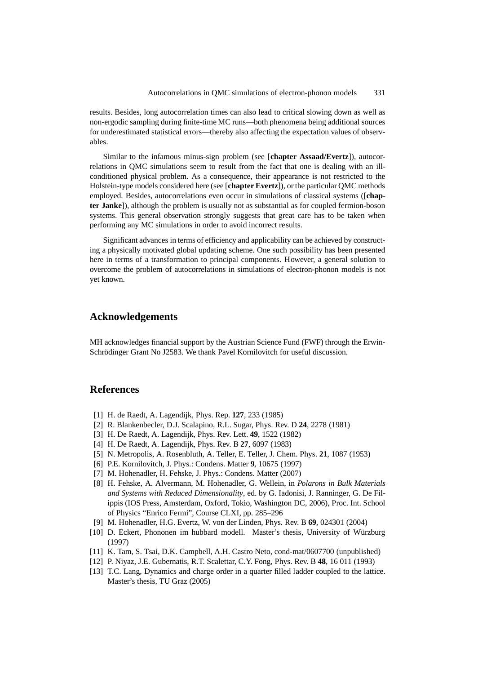results. Besides, long autocorrelation times can also lead to critical slowing down as well as non-ergodic sampling during finite-time MC runs—both phenomena being additional sources for underestimated statistical errors—thereby also affecting the expectation values of observables.

Similar to the infamous minus-sign problem (see [**chapter Assaad/Evertz**]), autocorrelations in QMC simulations seem to result from the fact that one is dealing with an illconditioned physical problem. As a consequence, their appearance is not restricted to the Holstein-type models considered here (see [**chapter Evertz**]), or the particular QMC methods employed. Besides, autocorrelations even occur in simulations of classical systems ([**chapter Janke**]), although the problem is usually not as substantial as for coupled fermion-boson systems. This general observation strongly suggests that great care has to be taken when performing any MC simulations in order to avoid incorrect results.

Significant advances in terms of efficiency and applicability can be achieved by constructing a physically motivated global updating scheme. One such possibility has been presented here in terms of a transformation to principal components. However, a general solution to overcome the problem of autocorrelations in simulations of electron-phonon models is not yet known.

# **Acknowledgements**

MH acknowledges financial support by the Austrian Science Fund (FWF) through the Erwin-Schrödinger Grant No J2583. We thank Pavel Kornilovitch for useful discussion.

### **References**

- [1] H. de Raedt, A. Lagendijk, Phys. Rep. **127**, 233 (1985)
- [2] R. Blankenbecler, D.J. Scalapino, R.L. Sugar, Phys. Rev. D **24**, 2278 (1981)
- [3] H. De Raedt, A. Lagendijk, Phys. Rev. Lett. **49**, 1522 (1982)
- [4] H. De Raedt, A. Lagendijk, Phys. Rev. B **27**, 6097 (1983)
- [5] N. Metropolis, A. Rosenbluth, A. Teller, E. Teller, J. Chem. Phys. **21**, 1087 (1953)
- [6] P.E. Kornilovitch, J. Phys.: Condens. Matter **9**, 10675 (1997)
- [7] M. Hohenadler, H. Fehske, J. Phys.: Condens. Matter (2007)
- [8] H. Fehske, A. Alvermann, M. Hohenadler, G. Wellein, in *Polarons in Bulk Materials and Systems with Reduced Dimensionality*, ed. by G. Iadonisi, J. Ranninger, G. De Filippis (IOS Press, Amsterdam, Oxford, Tokio, Washington DC, 2006), Proc. Int. School of Physics "Enrico Fermi", Course CLXI, pp. 285–296
- [9] M. Hohenadler, H.G. Evertz, W. von der Linden, Phys. Rev. B **69**, 024301 (2004)
- [10] D. Eckert, Phononen im hubbard modell. Master's thesis, University of Würzburg (1997)
- [11] K. Tam, S. Tsai, D.K. Campbell, A.H. Castro Neto, cond-mat/0607700 (unpublished)
- [12] P. Niyaz, J.E. Gubernatis, R.T. Scalettar, C.Y. Fong, Phys. Rev. B **48**, 16 011 (1993)
- [13] T.C. Lang, Dynamics and charge order in a quarter filled ladder coupled to the lattice. Master's thesis, TU Graz (2005)